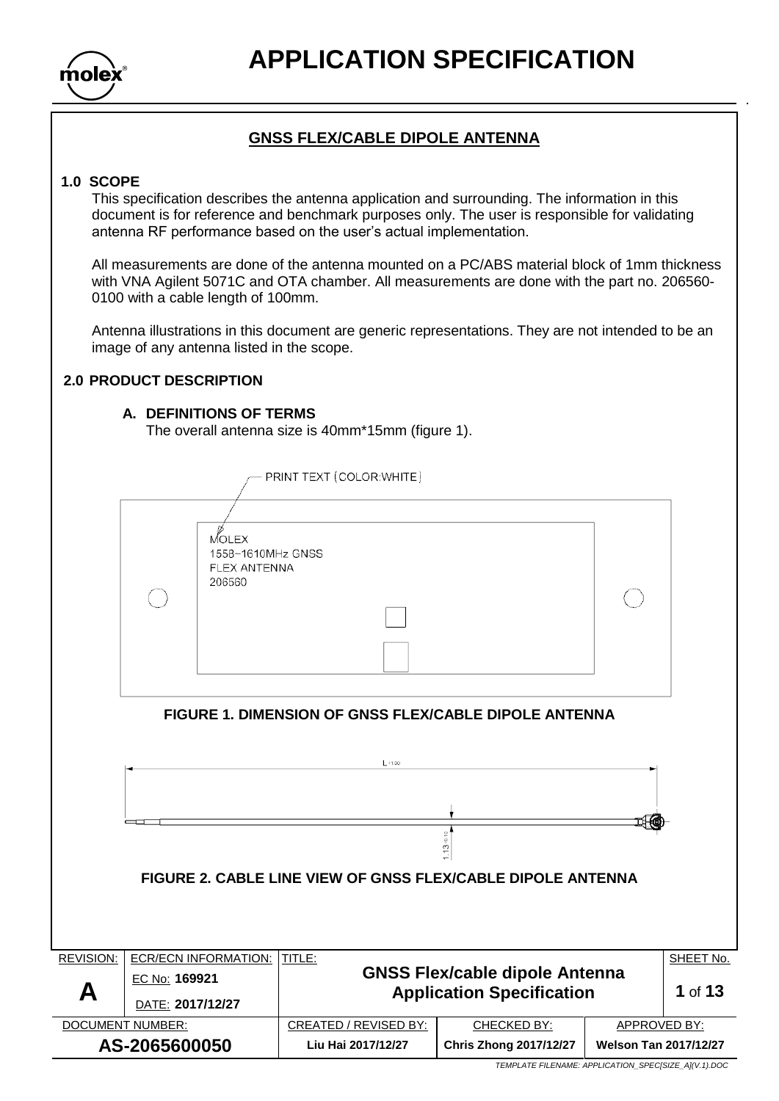

## **GNSS FLEX/CABLE DIPOLE ANTENNA**

#### **1.0 SCOPE**

This specification describes the antenna application and surrounding. The information in this document is for reference and benchmark purposes only. The user is responsible for validating antenna RF performance based on the user's actual implementation.

All measurements are done of the antenna mounted on a PC/ABS material block of 1mm thickness with VNA Agilent 5071C and OTA chamber. All measurements are done with the part no. 206560- 0100 with a cable length of 100mm.

Antenna illustrations in this document are generic representations. They are not intended to be an image of any antenna listed in the scope.

## **2.0 PRODUCT DESCRIPTION**

### **A. DEFINITIONS OF TERMS**

The overall antenna size is 40mm\*15mm (figure 1).

PRINT TEXT (COLOR: WHITE) MOLEX 1558~1610MHz GNSS FLEX ANTENNA 206560 **FIGURE 1. DIMENSION OF GNSS FLEX/CABLE DIPOLE ANTENNA**  $L:1.00$ 

|                         |                      | FIGURE 2. CABLE LINE VIEW OF GNSS FLEX/CABLE DIPOLE ANTENNA |                                                                           |                              |           |
|-------------------------|----------------------|-------------------------------------------------------------|---------------------------------------------------------------------------|------------------------------|-----------|
| <b>REVISION:</b>        | ECR/ECN INFORMATION: | TITLE:                                                      |                                                                           |                              | SHEET No. |
|                         | EC No: 169921        |                                                             | <b>GNSS Flex/cable dipole Antenna</b><br><b>Application Specification</b> |                              | 1 of $13$ |
| Α                       | DATE: 2017/12/27     |                                                             |                                                                           |                              |           |
| <b>DOCUMENT NUMBER:</b> |                      | CREATED / REVISED BY:                                       | CHECKED BY:                                                               | APPROVED BY:                 |           |
| AS-2065600050           |                      | Liu Hai 2017/12/27                                          | <b>Chris Zhong 2017/12/27</b>                                             | <b>Welson Tan 2017/12/27</b> |           |

 $\ddot{13}$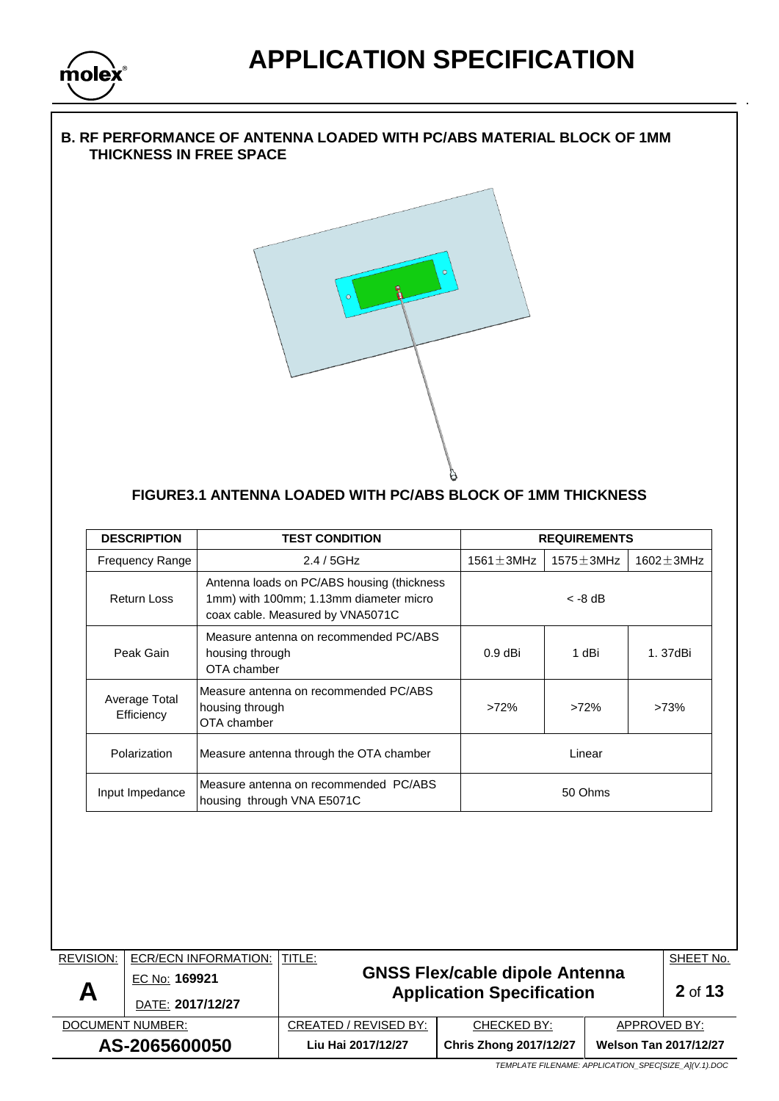

### **B. RF PERFORMANCE OF ANTENNA LOADED WITH PC/ABS MATERIAL BLOCK OF 1MM THICKNESS IN FREE SPACE**



## **FIGURE3.1 ANTENNA LOADED WITH PC/ABS BLOCK OF 1MM THICKNESS**

|                        | <b>TEST CONDITION</b> |                                                                                                                                                                                                                                                                                                                                                                                   | <b>REQUIREMENTS</b> |                  |
|------------------------|-----------------------|-----------------------------------------------------------------------------------------------------------------------------------------------------------------------------------------------------------------------------------------------------------------------------------------------------------------------------------------------------------------------------------|---------------------|------------------|
| <b>Frequency Range</b> | 2.4/5GHz              | $1561 \pm 3$ MHz                                                                                                                                                                                                                                                                                                                                                                  | $1575 \pm 3$ MHz    | $1602 \pm 3$ MHz |
|                        |                       |                                                                                                                                                                                                                                                                                                                                                                                   | $<$ -8 dB           |                  |
|                        |                       | $0.9$ dBi                                                                                                                                                                                                                                                                                                                                                                         | 1 dBi               | 1.37dBi          |
| OTA chamber            |                       | >72%                                                                                                                                                                                                                                                                                                                                                                              | >72%                | >73%             |
|                        |                       | Linear                                                                                                                                                                                                                                                                                                                                                                            |                     |                  |
|                        |                       | 50 Ohms                                                                                                                                                                                                                                                                                                                                                                           |                     |                  |
|                        |                       |                                                                                                                                                                                                                                                                                                                                                                                   |                     |                  |
|                        |                       |                                                                                                                                                                                                                                                                                                                                                                                   |                     |                  |
|                        | Input Impedance       | Antenna loads on PC/ABS housing (thickness<br>1mm) with 100mm; 1.13mm diameter micro<br>coax cable. Measured by VNA5071C<br>Measure antenna on recommended PC/ABS<br>housing through<br>OTA chamber<br>Measure antenna on recommended PC/ABS<br>housing through<br>Measure antenna through the OTA chamber<br>Measure antenna on recommended PC/ABS<br>housing through VNA E5071C |                     |                  |

 DOCUMENT NUMBER: CREATED / REVISED BY: CHECKED BY: APPROVED BY: **AS-2065600050 Liu Hai 2017/12/27 Chris Zhong 2017/12/27 Welson Tan 2017/12/27**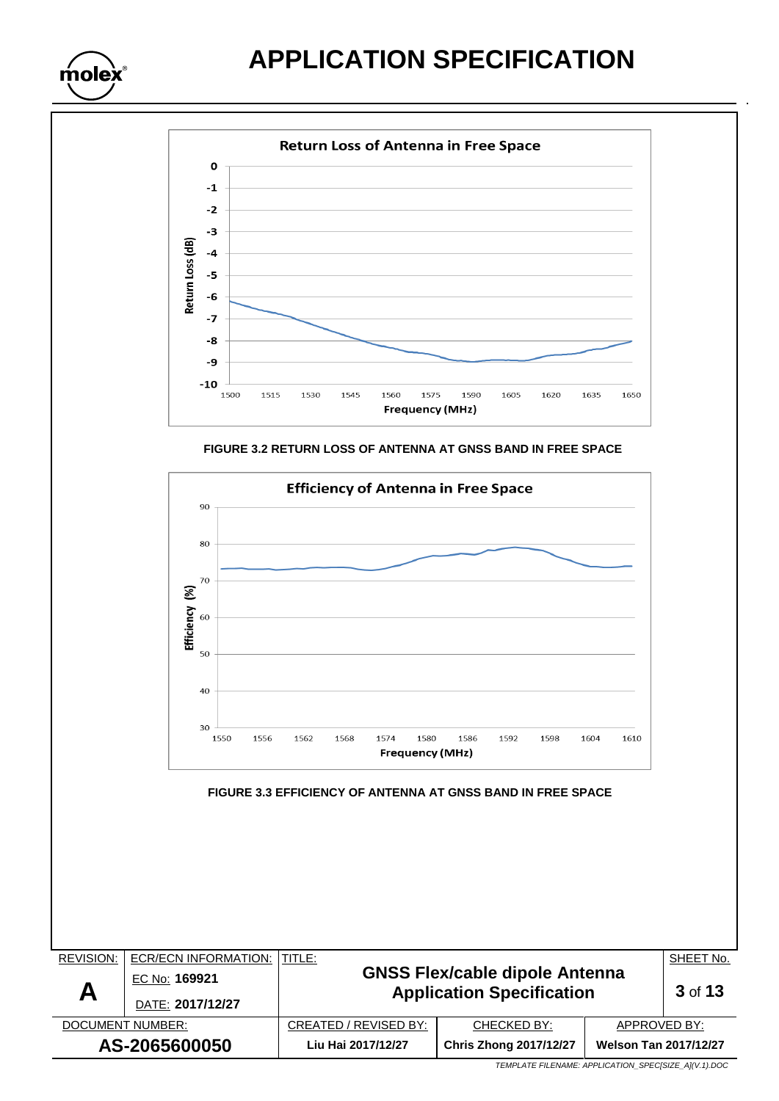molex









| <b>REVISION:</b> | <b>ECR/ECN INFORMATION:</b> | ITITLE:                                                                   |                               |                              | SHEET No. |
|------------------|-----------------------------|---------------------------------------------------------------------------|-------------------------------|------------------------------|-----------|
|                  | EC No: 169921               | <b>GNSS Flex/cable dipole Antenna</b><br><b>Application Specification</b> |                               |                              |           |
| A                | DATE: 2017/12/27            |                                                                           | 3 of 13                       |                              |           |
| DOCUMENT NUMBER: |                             | CREATED / REVISED BY:                                                     | CHECKED BY:                   | APPROVED BY:                 |           |
| AS-2065600050    |                             | Liu Hai 2017/12/27                                                        | <b>Chris Zhong 2017/12/27</b> | <b>Welson Tan 2017/12/27</b> |           |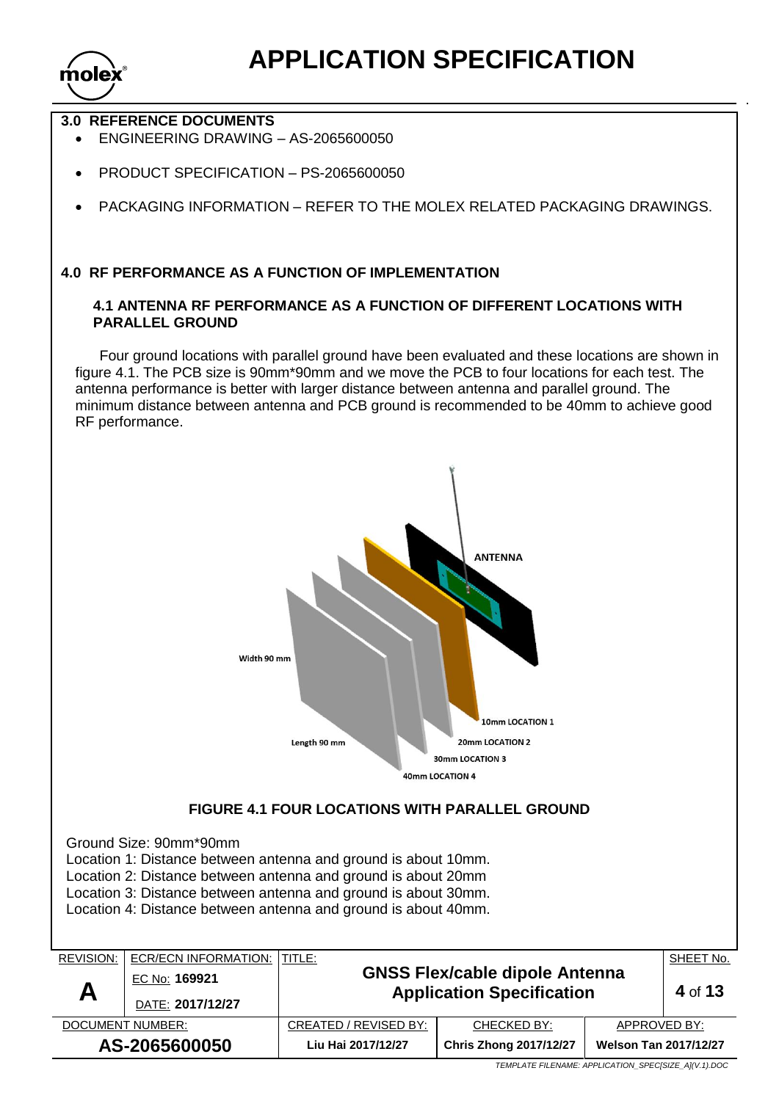

## **3.0 REFERENCE DOCUMENTS**

- ENGINEERING DRAWING AS-2065600050
- PRODUCT SPECIFICATION PS-2065600050
- PACKAGING INFORMATION REFER TO THE MOLEX RELATED PACKAGING DRAWINGS.

### **4.0 RF PERFORMANCE AS A FUNCTION OF IMPLEMENTATION**

### **4.1 ANTENNA RF PERFORMANCE AS A FUNCTION OF DIFFERENT LOCATIONS WITH PARALLEL GROUND**

Four ground locations with parallel ground have been evaluated and these locations are shown in figure 4.1. The PCB size is 90mm\*90mm and we move the PCB to four locations for each test. The antenna performance is better with larger distance between antenna and parallel ground. The minimum distance between antenna and PCB ground is recommended to be 40mm to achieve good RF performance.

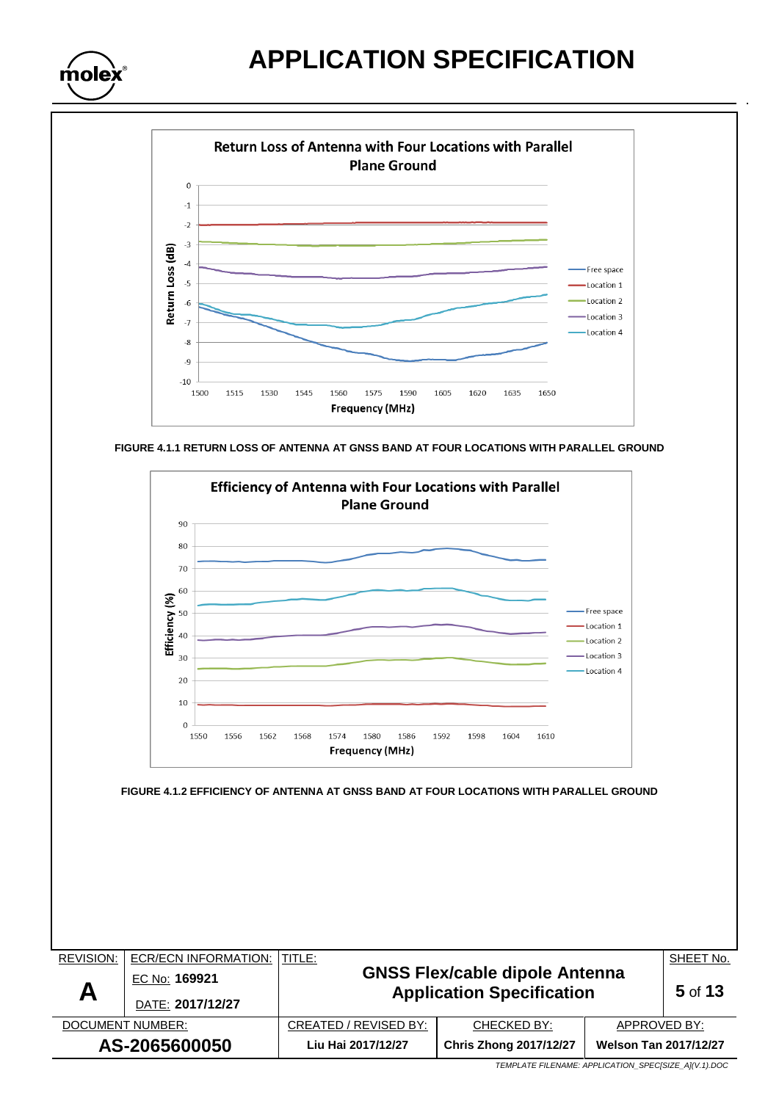



**FIGURE 4.1.1 RETURN LOSS OF ANTENNA AT GNSS BAND AT FOUR LOCATIONS WITH PARALLEL GROUND**



| <b>REVISION:</b> | ECR/ECN INFORMATION: | ITITLE:                                                                   |                               |                              | SHEET No. |
|------------------|----------------------|---------------------------------------------------------------------------|-------------------------------|------------------------------|-----------|
|                  | EC No: 169921        | <b>GNSS Flex/cable dipole Antenna</b><br><b>Application Specification</b> |                               |                              | 5 of 13   |
| A                | DATE: 2017/12/27     |                                                                           |                               |                              |           |
| DOCUMENT NUMBER: |                      | CREATED / REVISED BY:                                                     | CHECKED BY:                   | APPROVED BY:                 |           |
| AS-2065600050    |                      | Liu Hai 2017/12/27                                                        | <b>Chris Zhong 2017/12/27</b> | <b>Welson Tan 2017/12/27</b> |           |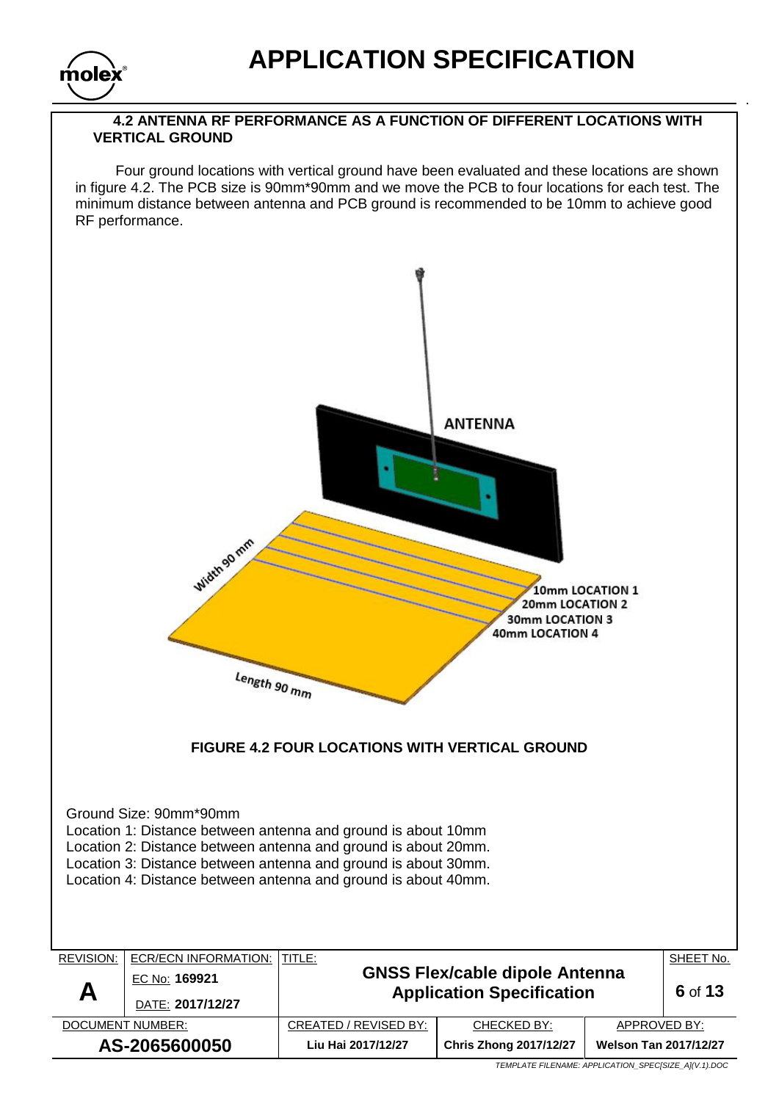

### **4.2 ANTENNA RF PERFORMANCE AS A FUNCTION OF DIFFERENT LOCATIONS WITH VERTICAL GROUND**

 Four ground locations with vertical ground have been evaluated and these locations are shown in figure 4.2. The PCB size is 90mm\*90mm and we move the PCB to four locations for each test. The minimum distance between antenna and PCB ground is recommended to be 10mm to achieve good RF performance.

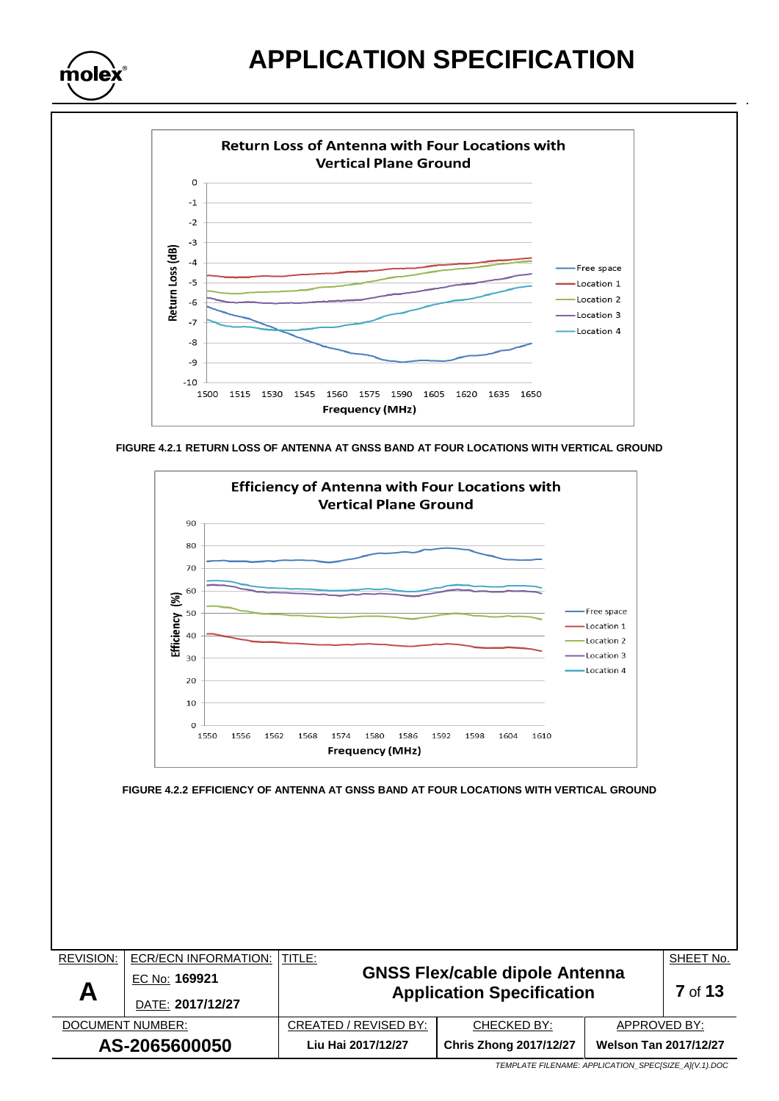



**FIGURE 4.2.1 RETURN LOSS OF ANTENNA AT GNSS BAND AT FOUR LOCATIONS WITH VERTICAL GROUND**



REVISION: ECR/ECN INFORMATION: TITLE: **GNSS Flex/cable dipole Antenna Application Specification** SHEET No. **A** EC No: **169921 7** of **13** DATE: **2017/12/27** DOCUMENT NUMBER:  $\vert$  CREATED / REVISED BY: CHECKED BY:  $\vert$  APPROVED BY: **AS-2065600050 Liu Hai 2017/12/27 Chris Zhong 2017/12/27 Welson Tan 2017/12/27**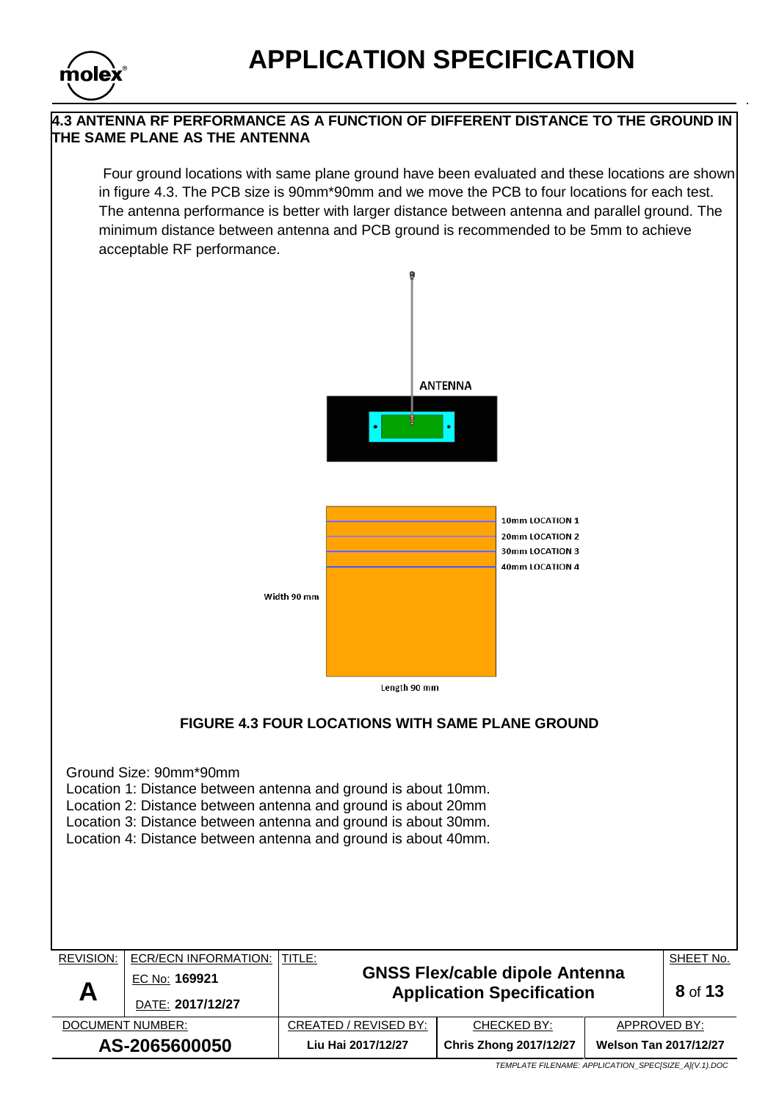

## **4.3 ANTENNA RF PERFORMANCE AS A FUNCTION OF DIFFERENT DISTANCE TO THE GROUND IN THE SAME PLANE AS THE ANTENNA**

Four ground locations with same plane ground have been evaluated and these locations are shown in figure 4.3. The PCB size is 90mm\*90mm and we move the PCB to four locations for each test. The antenna performance is better with larger distance between antenna and parallel ground. The minimum distance between antenna and PCB ground is recommended to be 5mm to achieve acceptable RF performance.

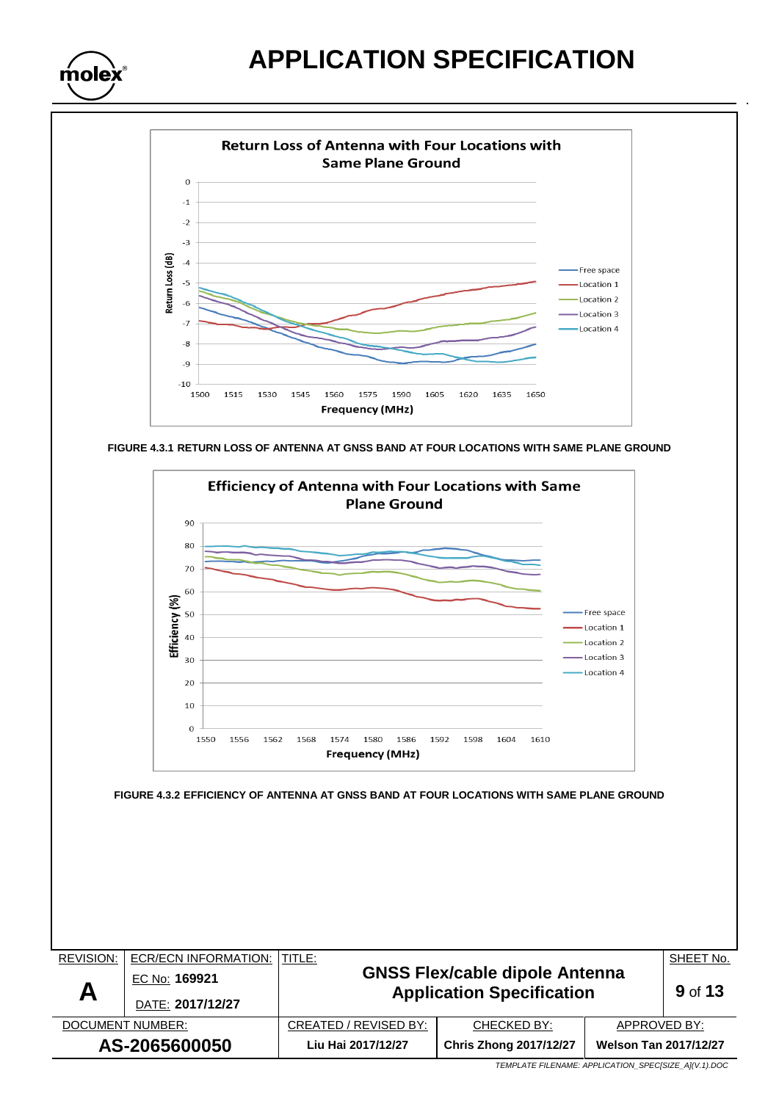



**FIGURE 4.3.1 RETURN LOSS OF ANTENNA AT GNSS BAND AT FOUR LOCATIONS WITH SAME PLANE GROUND**



**AS-2065600050 Liu Hai 2017/12/27 Chris Zhong 2017/12/27 Welson Tan 2017/12/27**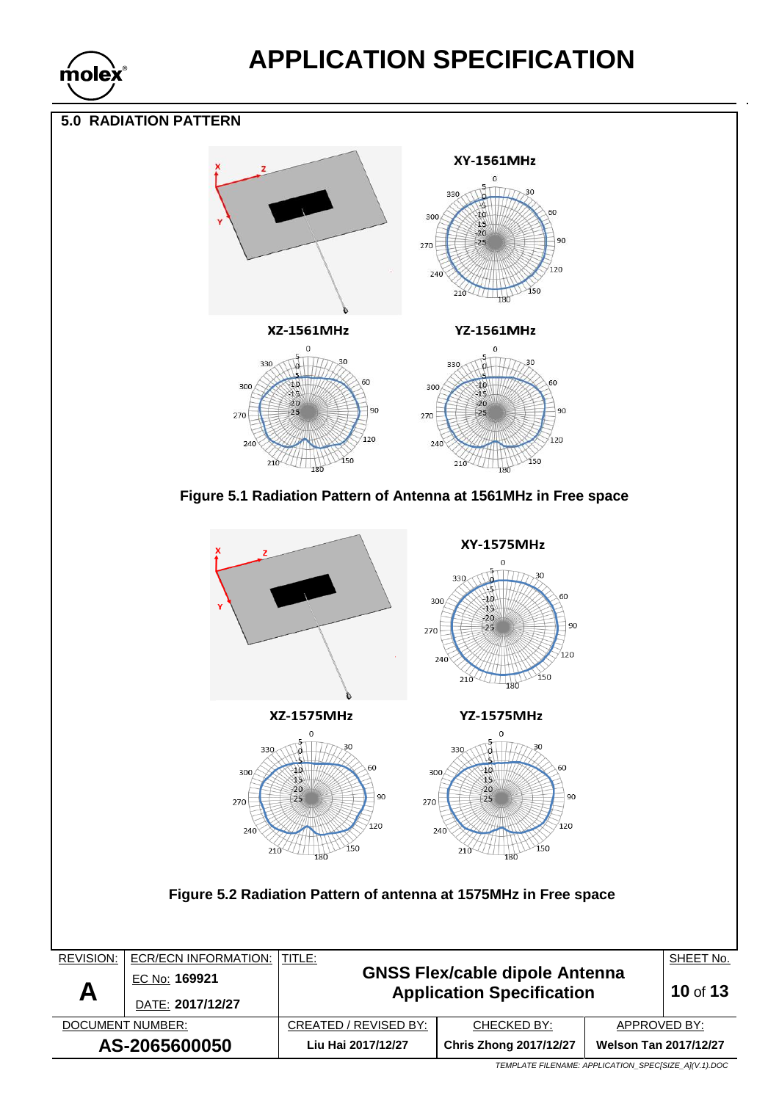

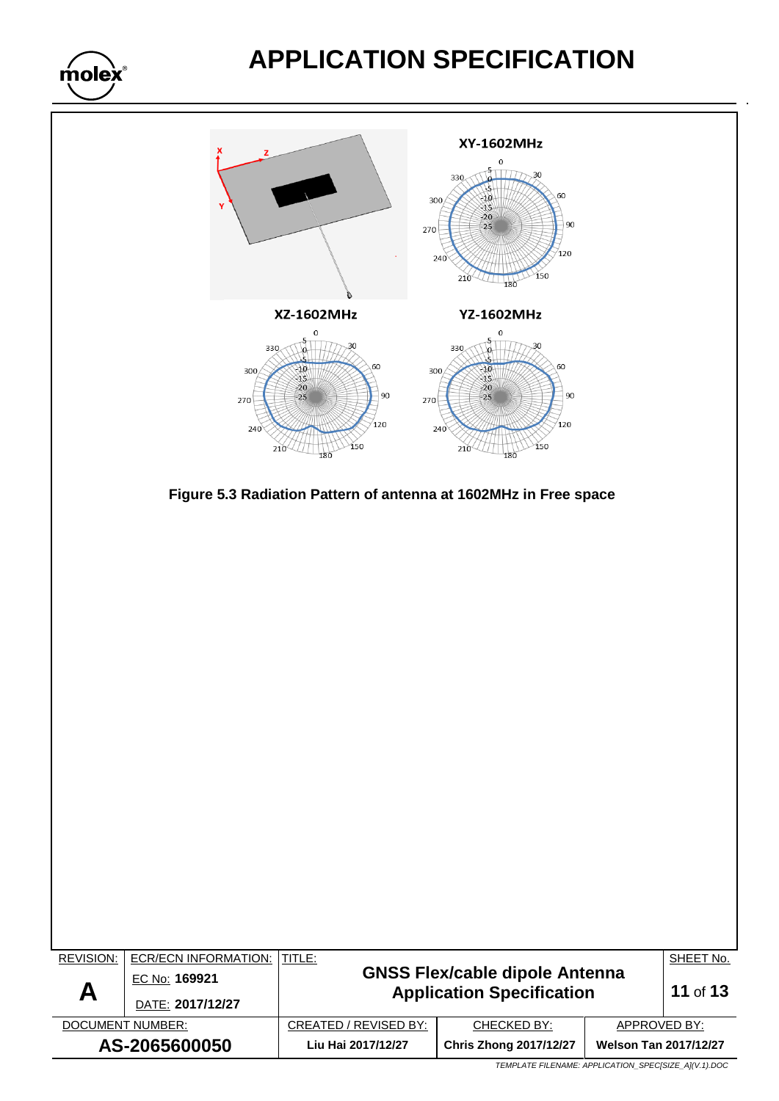

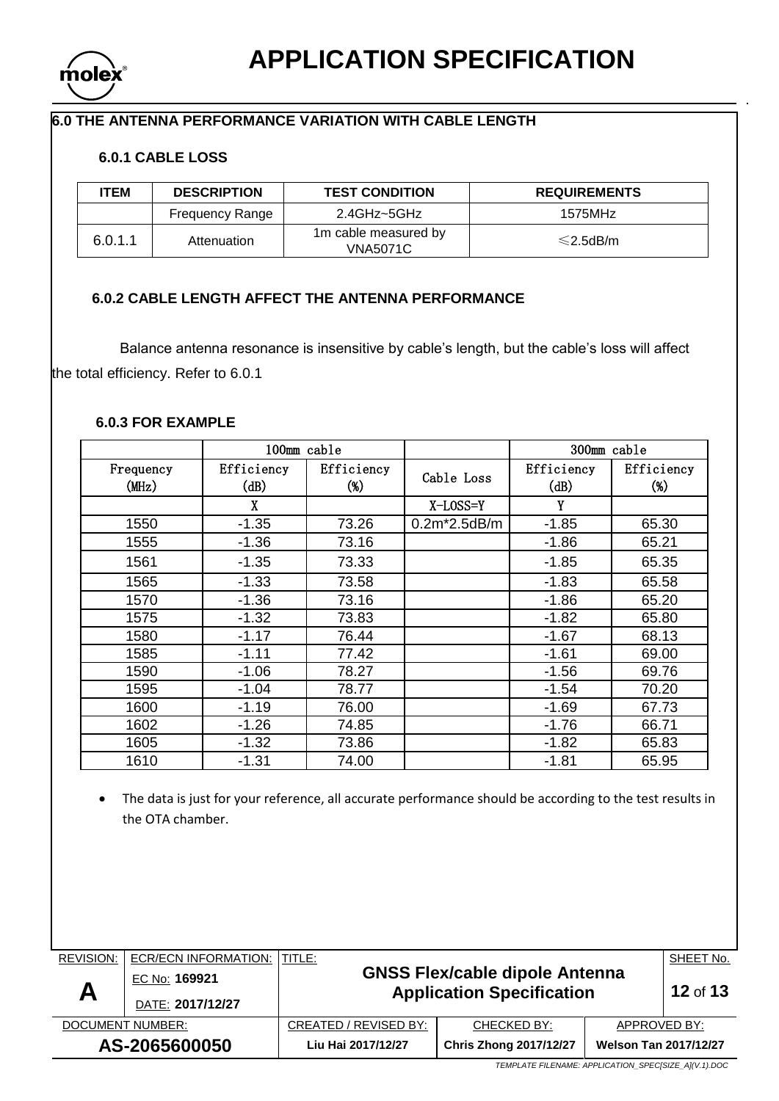

## **6.0 THE ANTENNA PERFORMANCE VARIATION WITH CABLE LENGTH**

## **6.0.1 CABLE LOSS**

| ITEM    | <b>DESCRIPTION</b>     | <b>TEST CONDITION</b>                   | <b>REQUIREMENTS</b> |
|---------|------------------------|-----------------------------------------|---------------------|
|         | <b>Frequency Range</b> | 2.4GHz~5GHz                             | 1575MHz             |
| 6.0.1.1 | Attenuation            | 1m cable measured by<br><b>VNA5071C</b> | $\leq$ 2.5dB/m      |

### **6.0.2 CABLE LENGTH AFFECT THE ANTENNA PERFORMANCE**

 Balance antenna resonance is insensitive by cable's length, but the cable's loss will affect the total efficiency. Refer to 6.0.1

### **6.0.3 FOR EXAMPLE**

|                    | 100mm cable        |                   |                | 300mm cable        |                      |
|--------------------|--------------------|-------------------|----------------|--------------------|----------------------|
| Frequency<br>(MHz) | Efficiency<br>(dB) | Efficiency<br>(%) | Cable Loss     | Efficiency<br>(dB) | Efficiency<br>$(\%)$ |
|                    | X                  |                   | $X$ -LOSS=Y    | Y                  |                      |
| 1550               | $-1.35$            | 73.26             | $0.2m*2.5dB/m$ | $-1.85$            | 65.30                |
| 1555               | $-1.36$            | 73.16             |                | $-1.86$            | 65.21                |
| 1561               | $-1.35$            | 73.33             |                | $-1.85$            | 65.35                |
| 1565               | $-1.33$            | 73.58             |                | $-1.83$            | 65.58                |
| 1570               | $-1.36$            | 73.16             |                | $-1.86$            | 65.20                |
| 1575               | $-1.32$            | 73.83             |                | $-1.82$            | 65.80                |
| 1580               | $-1.17$            | 76.44             |                | $-1.67$            | 68.13                |
| 1585               | $-1.11$            | 77.42             |                | $-1.61$            | 69.00                |
| 1590               | $-1.06$            | 78.27             |                | $-1.56$            | 69.76                |
| 1595               | $-1.04$            | 78.77             |                | $-1.54$            | 70.20                |
| 1600               | $-1.19$            | 76.00             |                | $-1.69$            | 67.73                |
| 1602               | $-1.26$            | 74.85             |                | $-1.76$            | 66.71                |
| 1605               | $-1.32$            | 73.86             |                | $-1.82$            | 65.83                |
| 1610               | $-1.31$            | 74.00             |                | $-1.81$            | 65.95                |

 The data is just for your reference, all accurate performance should be according to the test results in the OTA chamber.

| REVISION:        | <b>ECR/ECN INFORMATION:</b> | TITLE:                               |                                                                           |                              | SHEET No. |
|------------------|-----------------------------|--------------------------------------|---------------------------------------------------------------------------|------------------------------|-----------|
|                  | EC No: 169921               |                                      | <b>GNSS Flex/cable dipole Antenna</b><br><b>Application Specification</b> |                              | 12 of 13  |
| A                | DATE: 2017/12/27            |                                      |                                                                           |                              |           |
| DOCUMENT NUMBER: |                             | CREATED / REVISED BY:<br>CHECKED BY: |                                                                           | APPROVED BY:                 |           |
| AS-2065600050    |                             | Liu Hai 2017/12/27                   | <b>Chris Zhong 2017/12/27</b>                                             | <b>Welson Tan 2017/12/27</b> |           |